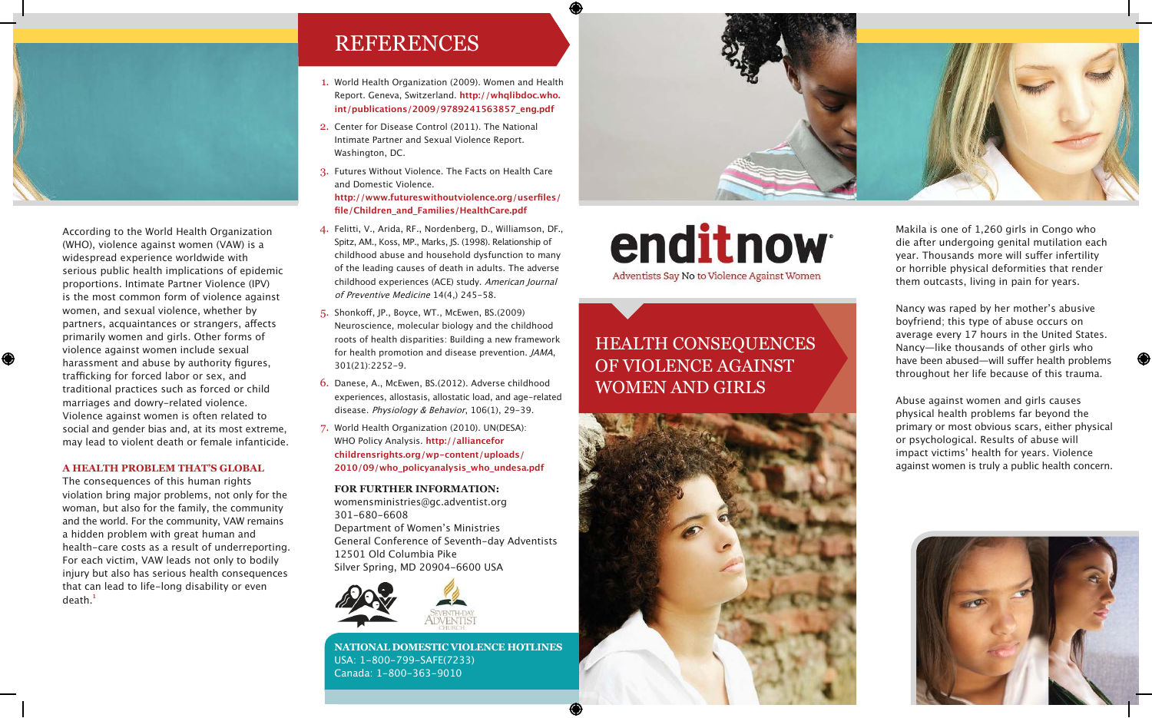

According to the World Health Organization (WHO), violence against women (VAW) is a widespread experience worldwide with serious public health implications of epidemic proportions. Intimate Partner Violence (IPV) is the most common form of violence against women, and sexual violence, whether by partners, acquaintances or strangers, affects primarily women and girls. Other forms of violence against women include sexual harassment and abuse by authority figures, trafficking for forced labor or sex, and traditional practices such as forced or child marriages and dowry-related violence. Violence against women is often related to social and gender bias and, at its most extreme, may lead to violent death or female infanticide.

 $\bigcirc$ 

#### A HEALTH PROBLEM THAT'S GLOBAL

The consequences of this human rights violation bring major problems, not only for the woman, but also for the family, the community and the world. For the community, VAW remains a hidden problem with great human and health-care costs as a result of underreporting. For each victim, VAW leads not only to bodily injury but also has serious health consequences that can lead to life-long disability or even  $death.<sup>1</sup>$ 

### **REFERENCES**

- 1. World Health Organization (2009). Women and Health Report. Geneva, Switzerland. http://whqlibdoc.who. int/publications/2009/9789241563857\_eng.pdf
- 2. Center for Disease Control (2011). The National Intimate Partner and Sexual Violence Report. Washington, DC.
- 3. Futures Without Violence. The Facts on Health Care and Domestic Violence.

### http://www.futureswithoutviolence.org/userfiles/ file/Children and Families/HealthCare.pdf

- 4. Felitti, V., Arida, RF., Nordenberg, D., Williamson, DF., Spitz, AM., Koss, MP., Marks, JS. (1998). Relationship of childhood abuse and household dysfunction to many of the leading causes of death in adults. The adverse childhood experiences (ACE) study. American Journal of Preventive Medicine 14(4,) 245-58.
- 5. Shonkoff, JP., Boyce, WT., McEwen, BS.(2009) Neuroscience, molecular biology and the childhood roots of health disparities: Building a new framework for health promotion and disease prevention. JAMA, 301(21):2252-9.
- 6. Danese, A., McEwen, BS.(2012). Adverse childhood experiences, allostasis, allostatic load, and age-related disease. Physiology & Behavior, 106(1), 29-39.
- 7. World Health Organization (2010). UN(DESA): WHO Policy Analysis. http://alliancefor childrensrights.org/wp-content/uploads/ 2010/09/who policyanalysis who undesa.pdf

### FOR FURTHER INFORMATION:

womensministries@gc.adventist.org 301-680-6608 Department of Women's Ministries General Conference of Seventh-day Adventists 12501 Old Columbia Pike Silver Spring, MD 20904-6600 USA



NATIONAL DOMESTIC VIOLENCE HOTLINES USA: 1-800-799-SAFE(7233) Canada: 1-800-363-9010

# enditnow Adventists Say No to Violence Against Women

### HEALTH CONSEQUENCES OF VIOLENCE AGAINST **WOMEN AND GIRLS**



Makila is one of 1,260 girls in Congo who die after undergoing genital mutilation each year. Thousands more will suffer infertility or horrible physical deformities that render them outcasts, living in pain for years.

Nancy was raped by her mother's abusive boyfriend; this type of abuse occurs on average every 17 hours in the United States. Nancy-like thousands of other girls who have been abused—will suffer health problems throughout her life because of this trauma.

Abuse against women and girls causes physical health problems far beyond the primary or most obvious scars, either physical or psychological. Results of abuse will impact victims' health for years. Violence against women is truly a public health concern.